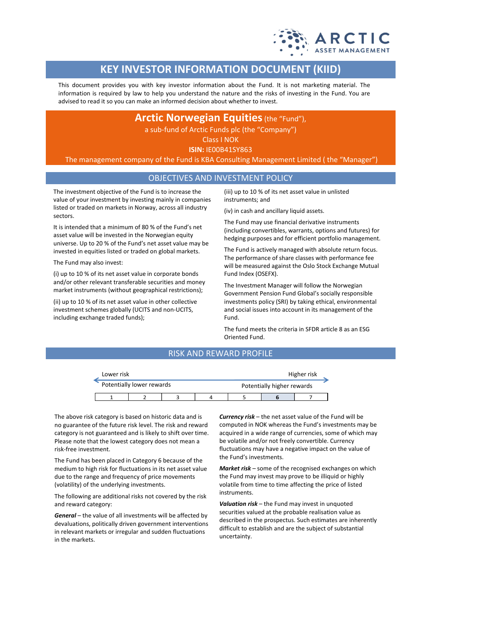

# **KEY INVESTOR INFORMATION DOCUMENT (KIID)**

This document provides you with key investor information about the Fund. It is not marketing material. The information is required by law to help you understand the nature and the risks of investing in the Fund. You are advised to read it so you can make an informed decision about whether to invest.

## **Arctic Norwegian Equities** (the "Fund"),

a sub-fund of Arctic Funds plc (the "Company")

Class I NOK

**ISIN:** IE00B41SY863

The management company of the Fund is KBA Consulting Management Limited ( the "Manager")

## OBJECTIVES AND INVESTMENT POLICY

The investment objective of the Fund is to increase the value of your investment by investing mainly in companies listed or traded on markets in Norway, across all industry sectors.

It is intended that a minimum of 80 % of the Fund's net asset value will be invested in the Norwegian equity universe. Up to 20 % of the Fund's net asset value may be invested in equities listed or traded on global markets.

The Fund may also invest:

(i) up to 10 % of its net asset value in corporate bonds and/or other relevant transferable securities and money market instruments (without geographical restrictions);

(ii) up to 10 % of its net asset value in other collective investment schemes globally (UCITS and non-UCITS, including exchange traded funds);

(iii) up to 10 % of its net asset value in unlisted instruments; and

(iv) in cash and ancillary liquid assets.

The Fund may use financial derivative instruments (including convertibles, warrants, options and futures) for hedging purposes and for efficient portfolio management.

The Fund is actively managed with absolute return focus. The performance of share classes with performance fee will be measured against the Oslo Stock Exchange Mutual Fund Index (OSEFX).

The Investment Manager will follow the Norwegian Government Pension Fund Global's socially responsible investments policy (SRI) by taking ethical, environmental and social issues into account in its management of the Fund.

The fund meets the criteria in SFDR article 8 as an ESG Oriented Fund.

## RISK AND REWARD PROFILE

| Lower risk                |  |  |  | Higher risk                |  |  |  |  |
|---------------------------|--|--|--|----------------------------|--|--|--|--|
| Potentially lower rewards |  |  |  | Potentially higher rewards |  |  |  |  |
|                           |  |  |  |                            |  |  |  |  |

The above risk category is based on historic data and is no guarantee of the future risk level. The risk and reward category is not guaranteed and is likely to shift over time. Please note that the lowest category does not mean a risk-free investment.

The Fund has been placed in Category 6 because of the medium to high risk for fluctuations in its net asset value due to the range and frequency of price movements (volatility) of the underlying investments.

The following are additional risks not covered by the risk and reward category:

*General* – the value of all investments will be affected by devaluations, politically driven government interventions in relevant markets or irregular and sudden fluctuations in the markets.

*Currency risk* – the net asset value of the Fund will be computed in NOK whereas the Fund's investments may be acquired in a wide range of currencies, some of which may be volatile and/or not freely convertible. Currency fluctuations may have a negative impact on the value of the Fund's investments.

*Market risk* – some of the recognised exchanges on which the Fund may invest may prove to be illiquid or highly volatile from time to time affecting the price of listed instruments.

*Valuation risk* – the Fund may invest in unquoted securities valued at the probable realisation value as described in the prospectus. Such estimates are inherently difficult to establish and are the subject of substantial uncertainty.